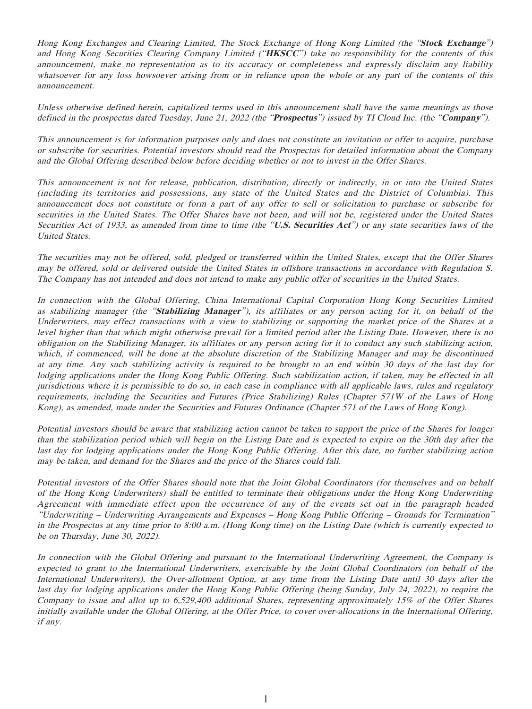Hong Kong Exchanges and Clearing Limited, The Stock Exchange of Hong Kong Limited (the "**Stock Exchange**") and Hong Kong Securities Clearing Company Limited ("**HKSCC**") take no responsibility for the contents of this announcement, make no representation as to its accuracy or completeness and expressly disclaim any liability whatsoever for any loss howsoever arising from or in reliance upon the whole or any part of the contents of this announcement.

Unless otherwise defined herein, capitalized terms used in this announcement shall have the same meanings as those defined in the prospectus dated Tuesday, June 21, 2022 (the "**Prospectus**") issued by TI Cloud Inc. (the "**Company**").

This announcement is for information purposes only and does not constitute an invitation or offer to acquire, purchase or subscribe for securities. Potential investors should read the Prospectus for detailed information about the Company and the Global Offering described below before deciding whether or not to invest in the Offer Shares.

This announcement is not for release, publication, distribution, directly or indirectly, in or into the United States (including its territories and possessions, any state of the United States and the District of Columbia). This announcement does not constitute or form a part of any offer to sell or solicitation to purchase or subscribe for securities in the United States. The Offer Shares have not been, and will not be, registered under the United States Securities Act of 1933, as amended from time to time (the "**U.S. Securities Act**") or any state securities laws of the United States.

The securities may not be offered, sold, pledged or transferred within the United States, except that the Offer Shares may be offered, sold or delivered outside the United States in offshore transactions in accordance with Regulation S. The Company has not intended and does not intend to make any public offer of securities in the United States.

In connection with the Global Offering, China International Capital Corporation Hong Kong Securities Limited as stabilizing manager (the "**Stabilizing Manager**"), its affiliates or any person acting for it, on behalf of the Underwriters, may effect transactions with a view to stabilizing or supporting the market price of the Shares at a level higher than that which might otherwise prevail for a limited period after the Listing Date. However, there is no obligation on the Stabilizing Manager, its affiliates or any person acting for it to conduct any such stabilizing action, which, if commenced, will be done at the absolute discretion of the Stabilizing Manager and may be discontinued at any time. Any such stabilizing activity is required to be brought to an end within 30 days of the last day for lodging applications under the Hong Kong Public Offering. Such stabilization action, if taken, may be effected in all jurisdictions where it is permissible to do so, in each case in compliance with all applicable laws, rules and regulatory requirements, including the Securities and Futures (Price Stabilizing) Rules (Chapter 571W of the Laws of Hong Kong), as amended, made under the Securities and Futures Ordinance (Chapter 571 of the Laws of Hong Kong).

Potential investors should be aware that stabilizing action cannot be taken to support the price of the Shares for longer than the stabilization period which will begin on the Listing Date and is expected to expire on the 30th day after the last day for lodging applications under the Hong Kong Public Offering. After this date, no further stabilizing action may be taken, and demand for the Shares and the price of the Shares could fall.

Potential investors of the Offer Shares should note that the Joint Global Coordinators (for themselves and on behalf of the Hong Kong Underwriters) shall be entitled to terminate their obligations under the Hong Kong Underwriting Agreement with immediate effect upon the occurrence of any of the events set out in the paragraph headed "Underwriting – Underwriting Arrangements and Expenses – Hong Kong Public Offering – Grounds for Termination" in the Prospectus at any time prior to 8:00 a.m. (Hong Kong time) on the Listing Date (which is currently expected to be on Thursday, June 30, 2022).

In connection with the Global Offering and pursuant to the International Underwriting Agreement, the Company is expected to grant to the International Underwriters, exercisable by the Joint Global Coordinators (on behalf of the International Underwriters), the Over-allotment Option, at any time from the Listing Date until 30 days after the last day for lodging applications under the Hong Kong Public Offering (being Sunday, July 24, 2022), to require the Company to issue and allot up to 6,529,400 additional Shares, representing approximately 15% of the Offer Shares initially available under the Global Offering, at the Offer Price, to cover over-allocations in the International Offering, if any.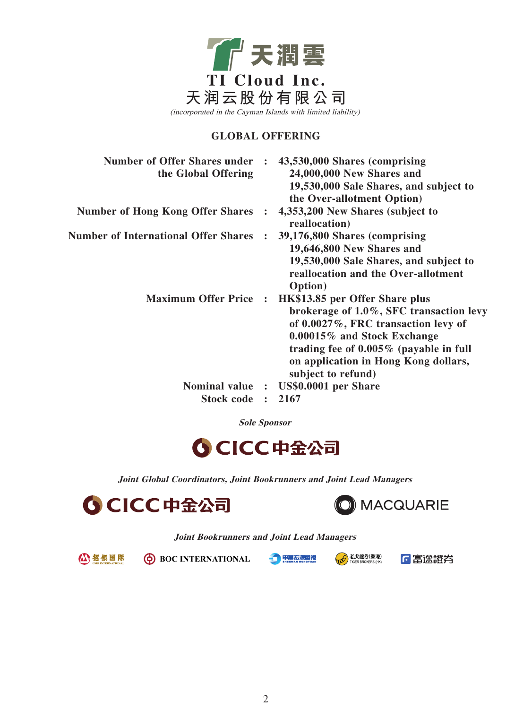

### **GLOBAL OFFERING**

| <b>Number of Offer Shares under :</b> | 43,530,000 Shares (comprising<br>24,000,000 New Shares and<br>19,530,000 Sale Shares, and subject to<br>the Over-allotment Option)                                                                                                                                 |
|---------------------------------------|--------------------------------------------------------------------------------------------------------------------------------------------------------------------------------------------------------------------------------------------------------------------|
|                                       | 4,353,200 New Shares (subject to<br>reallocation)                                                                                                                                                                                                                  |
| $\ddot{\cdot}$                        | 39,176,800 Shares (comprising<br>19,646,800 New Shares and<br>19,530,000 Sale Shares, and subject to<br>reallocation and the Over-allotment<br>Option)                                                                                                             |
| $\sim$ 1.                             | HK\$13.85 per Offer Share plus<br>brokerage of $1.0\%$ , SFC transaction levy<br>of $0.0027\%$ , FRC transaction levy of<br>0.00015% and Stock Exchange<br>trading fee of $0.005\%$ (payable in full<br>on application in Hong Kong dollars,<br>subject to refund) |
|                                       | Nominal value : US\$0.0001 per Share                                                                                                                                                                                                                               |
| $\ddot{\cdot}$                        | 2167                                                                                                                                                                                                                                                               |
|                                       |                                                                                                                                                                                                                                                                    |

**Sole Sponsor**



**Joint Global Coordinators, Joint Bookrunners and Joint Lead Managers**





#### **Joint Bookrunners and Joint Lead Managers**

公招银国际

**O** BOC INTERNATIONAL

中萬宏源香港



「国富逸證券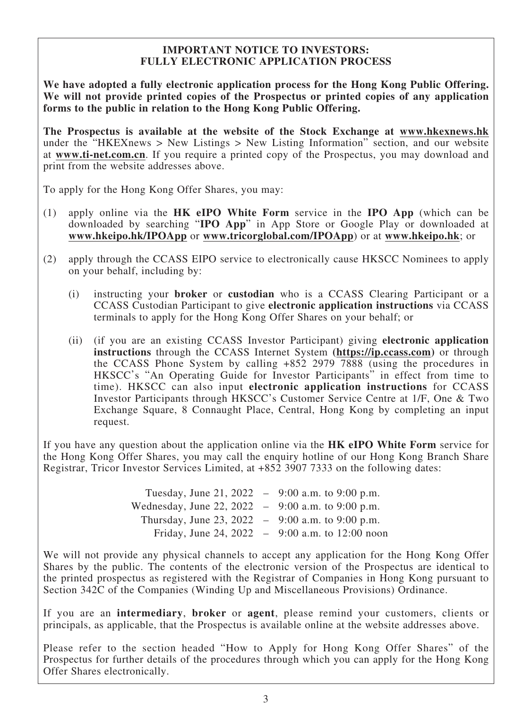### **IMPORTANT NOTICE TO INVESTORS: FULLY ELECTRONIC APPLICATION PROCESS**

**We have adopted a fully electronic application process for the Hong Kong Public Offering. We will not provide printed copies of the Prospectus or printed copies of any application forms to the public in relation to the Hong Kong Public Offering.**

**The Prospectus is available at the website of the Stock Exchange at www.hkexnews.hk** under the "HKEXnews  $>$  New Listings  $>$  New Listing Information" section, and our website at **www.ti-net.com.cn**. If you require a printed copy of the Prospectus, you may download and print from the website addresses above.

To apply for the Hong Kong Offer Shares, you may:

- (1) apply online via the **HK eIPO White Form** service in the **IPO App** (which can be downloaded by searching "**IPO App**" in App Store or Google Play or downloaded at **www.hkeipo.hk/IPOApp** or **www.tricorglobal.com/IPOApp**) or at **www.hkeipo.hk**; or
- (2) apply through the CCASS EIPO service to electronically cause HKSCC Nominees to apply on your behalf, including by:
	- (i) instructing your **broker** or **custodian** who is a CCASS Clearing Participant or a CCASS Custodian Participant to give **electronic application instructions** via CCASS terminals to apply for the Hong Kong Offer Shares on your behalf; or
	- (ii) (if you are an existing CCASS Investor Participant) giving **electronic application instructions** through the CCASS Internet System **(https://ip.ccass.com)** or through the CCASS Phone System by calling +852 2979 7888 (using the procedures in HKSCC's "An Operating Guide for Investor Participants" in effect from time to time). HKSCC can also input **electronic application instructions** for CCASS Investor Participants through HKSCC's Customer Service Centre at 1/F, One & Two Exchange Square, 8 Connaught Place, Central, Hong Kong by completing an input request.

If you have any question about the application online via the **HK eIPO White Form** service for the Hong Kong Offer Shares, you may call the enquiry hotline of our Hong Kong Branch Share Registrar, Tricor Investor Services Limited, at +852 3907 7333 on the following dates:

| Tuesday, June 21, 2022 – 9:00 a.m. to 9:00 p.m.     |                                                   |
|-----------------------------------------------------|---------------------------------------------------|
| Wednesday, June 22, 2022 $-$ 9:00 a.m. to 9:00 p.m. |                                                   |
| Thursday, June 23, 2022 $-$ 9:00 a.m. to 9:00 p.m.  |                                                   |
|                                                     | Friday, June 24, 2022 $-$ 9:00 a.m. to 12:00 noon |

We will not provide any physical channels to accept any application for the Hong Kong Offer Shares by the public. The contents of the electronic version of the Prospectus are identical to the printed prospectus as registered with the Registrar of Companies in Hong Kong pursuant to Section 342C of the Companies (Winding Up and Miscellaneous Provisions) Ordinance.

If you are an **intermediary**, **broker** or **agent**, please remind your customers, clients or principals, as applicable, that the Prospectus is available online at the website addresses above.

Please refer to the section headed "How to Apply for Hong Kong Offer Shares" of the Prospectus for further details of the procedures through which you can apply for the Hong Kong Offer Shares electronically.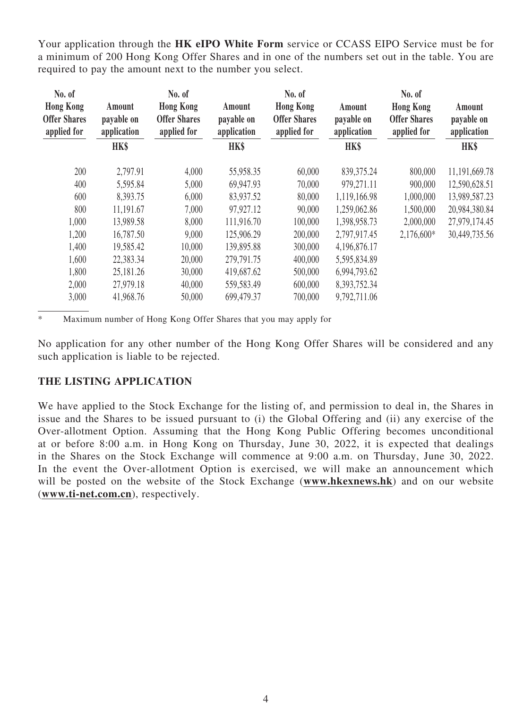Your application through the **HK eIPO White Form** service or CCASS EIPO Service must be for a minimum of 200 Hong Kong Offer Shares and in one of the numbers set out in the table. You are required to pay the amount next to the number you select.

| No. of                                                 |                                     | No. of                                                 |                                     | No. of                                                 |                                     | No. of                                                 |                                     |
|--------------------------------------------------------|-------------------------------------|--------------------------------------------------------|-------------------------------------|--------------------------------------------------------|-------------------------------------|--------------------------------------------------------|-------------------------------------|
| <b>Hong Kong</b><br><b>Offer Shares</b><br>applied for | Amount<br>payable on<br>application | <b>Hong Kong</b><br><b>Offer Shares</b><br>applied for | Amount<br>payable on<br>application | <b>Hong Kong</b><br><b>Offer Shares</b><br>applied for | Amount<br>payable on<br>application | <b>Hong Kong</b><br><b>Offer Shares</b><br>applied for | Amount<br>payable on<br>application |
|                                                        | HK\$                                |                                                        | HK\$                                |                                                        | HK\$                                |                                                        | HK\$                                |
| 200                                                    | 2,797.91                            | 4,000                                                  | 55,958.35                           | 60,000                                                 | 839, 375.24                         | 800,000                                                | 11,191,669.78                       |
| 400                                                    | 5,595.84                            | 5,000                                                  | 69,947.93                           | 70,000                                                 | 979,271.11                          | 900,000                                                | 12,590,628.51                       |
| 600                                                    | 8,393.75                            | 6,000                                                  | 83,937.52                           | 80,000                                                 | 1,119,166.98                        | 1,000,000                                              | 13,989,587.23                       |
| 800                                                    | 11,191.67                           | 7,000                                                  | 97,927.12                           | 90,000                                                 | 1,259,062.86                        | 1,500,000                                              | 20,984,380.84                       |
| 1,000                                                  | 13,989.58                           | 8,000                                                  | 111,916.70                          | 100,000                                                | 1,398,958.73                        | 2,000,000                                              | 27,979,174.45                       |
| 1,200                                                  | 16,787.50                           | 9,000                                                  | 125,906.29                          | 200,000                                                | 2,797,917.45                        | $2,176,600*$                                           | 30,449,735.56                       |
| 1,400                                                  | 19,585.42                           | 10,000                                                 | 139,895.88                          | 300,000                                                | 4,196,876.17                        |                                                        |                                     |
| 1,600                                                  | 22,383.34                           | 20,000                                                 | 279,791.75                          | 400,000                                                | 5,595,834.89                        |                                                        |                                     |
| 1,800                                                  | 25,181.26                           | 30,000                                                 | 419,687.62                          | 500,000                                                | 6,994,793.62                        |                                                        |                                     |
| 2,000                                                  | 27,979.18                           | 40,000                                                 | 559,583.49                          | 600,000                                                | 8,393,752.34                        |                                                        |                                     |
| 3,000                                                  | 41,968.76                           | 50,000                                                 | 699,479.37                          | 700,000                                                | 9,792,711.06                        |                                                        |                                     |

\* Maximum number of Hong Kong Offer Shares that you may apply for

No application for any other number of the Hong Kong Offer Shares will be considered and any such application is liable to be rejected.

## **THE LISTING APPLICATION**

We have applied to the Stock Exchange for the listing of, and permission to deal in, the Shares in issue and the Shares to be issued pursuant to (i) the Global Offering and (ii) any exercise of the Over-allotment Option. Assuming that the Hong Kong Public Offering becomes unconditional at or before 8:00 a.m. in Hong Kong on Thursday, June 30, 2022, it is expected that dealings in the Shares on the Stock Exchange will commence at 9:00 a.m. on Thursday, June 30, 2022. In the event the Over-allotment Option is exercised, we will make an announcement which will be posted on the website of the Stock Exchange (**www.hkexnews.hk**) and on our website (**www.ti-net.com.cn**), respectively.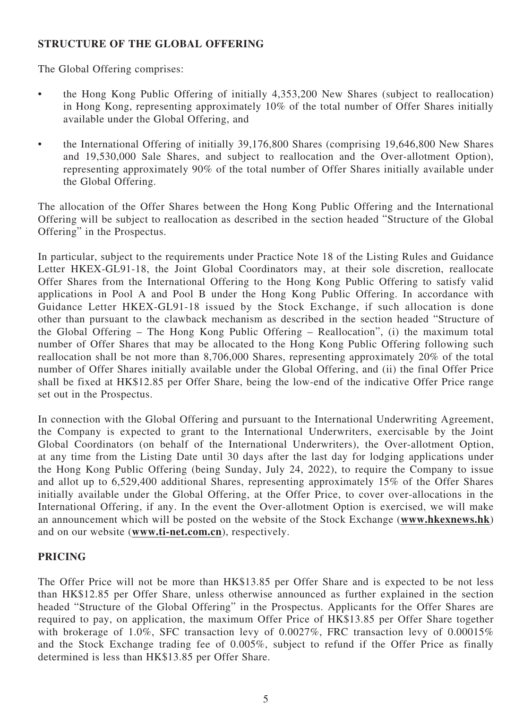## **STRUCTURE OF THE GLOBAL OFFERING**

The Global Offering comprises:

- the Hong Kong Public Offering of initially 4,353,200 New Shares (subject to reallocation) in Hong Kong, representing approximately 10% of the total number of Offer Shares initially available under the Global Offering, and
- the International Offering of initially 39,176,800 Shares (comprising 19,646,800 New Shares and 19,530,000 Sale Shares, and subject to reallocation and the Over-allotment Option), representing approximately 90% of the total number of Offer Shares initially available under the Global Offering.

The allocation of the Offer Shares between the Hong Kong Public Offering and the International Offering will be subject to reallocation as described in the section headed "Structure of the Global Offering" in the Prospectus.

In particular, subject to the requirements under Practice Note 18 of the Listing Rules and Guidance Letter HKEX-GL91-18, the Joint Global Coordinators may, at their sole discretion, reallocate Offer Shares from the International Offering to the Hong Kong Public Offering to satisfy valid applications in Pool A and Pool B under the Hong Kong Public Offering. In accordance with Guidance Letter HKEX-GL91-18 issued by the Stock Exchange, if such allocation is done other than pursuant to the clawback mechanism as described in the section headed "Structure of the Global Offering – The Hong Kong Public Offering – Reallocation", (i) the maximum total number of Offer Shares that may be allocated to the Hong Kong Public Offering following such reallocation shall be not more than 8,706,000 Shares, representing approximately 20% of the total number of Offer Shares initially available under the Global Offering, and (ii) the final Offer Price shall be fixed at HK\$12.85 per Offer Share, being the low-end of the indicative Offer Price range set out in the Prospectus.

In connection with the Global Offering and pursuant to the International Underwriting Agreement, the Company is expected to grant to the International Underwriters, exercisable by the Joint Global Coordinators (on behalf of the International Underwriters), the Over-allotment Option, at any time from the Listing Date until 30 days after the last day for lodging applications under the Hong Kong Public Offering (being Sunday, July 24, 2022), to require the Company to issue and allot up to 6,529,400 additional Shares, representing approximately 15% of the Offer Shares initially available under the Global Offering, at the Offer Price, to cover over-allocations in the International Offering, if any. In the event the Over-allotment Option is exercised, we will make an announcement which will be posted on the website of the Stock Exchange (**www.hkexnews.hk**) and on our website (**www.ti-net.com.cn**), respectively.

## **PRICING**

The Offer Price will not be more than HK\$13.85 per Offer Share and is expected to be not less than HK\$12.85 per Offer Share, unless otherwise announced as further explained in the section headed "Structure of the Global Offering" in the Prospectus. Applicants for the Offer Shares are required to pay, on application, the maximum Offer Price of HK\$13.85 per Offer Share together with brokerage of 1.0%, SFC transaction levy of 0.0027%, FRC transaction levy of 0.00015% and the Stock Exchange trading fee of 0.005%, subject to refund if the Offer Price as finally determined is less than HK\$13.85 per Offer Share.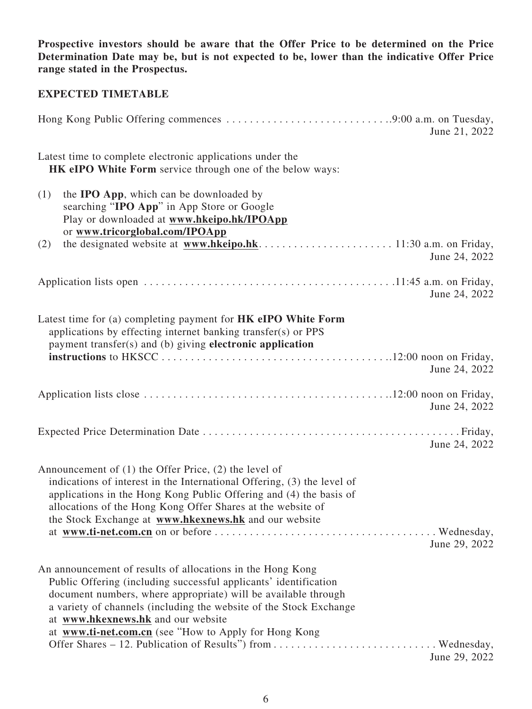**Prospective investors should be aware that the Offer Price to be determined on the Price Determination Date may be, but is not expected to be, lower than the indicative Offer Price range stated in the Prospectus.**

# **EXPECTED TIMETABLE**

|                                                                                                                                                                                                                                                                                                                                                                       | June 21, 2022 |
|-----------------------------------------------------------------------------------------------------------------------------------------------------------------------------------------------------------------------------------------------------------------------------------------------------------------------------------------------------------------------|---------------|
| Latest time to complete electronic applications under the<br><b>HK eIPO White Form</b> service through one of the below ways:                                                                                                                                                                                                                                         |               |
| (1)<br>the <b>IPO App</b> , which can be downloaded by<br>searching "IPO App" in App Store or Google<br>Play or downloaded at www.hkeipo.hk/IPOApp<br>or www.tricorglobal.com/IPOApp                                                                                                                                                                                  |               |
| (2)                                                                                                                                                                                                                                                                                                                                                                   | June 24, 2022 |
|                                                                                                                                                                                                                                                                                                                                                                       | June 24, 2022 |
| Latest time for (a) completing payment for HK eIPO White Form<br>applications by effecting internet banking transfer(s) or PPS<br>payment transfer(s) and (b) giving electronic application                                                                                                                                                                           | June 24, 2022 |
|                                                                                                                                                                                                                                                                                                                                                                       | June 24, 2022 |
|                                                                                                                                                                                                                                                                                                                                                                       | June 24, 2022 |
| Announcement of $(1)$ the Offer Price, $(2)$ the level of<br>indications of interest in the International Offering, (3) the level of<br>applications in the Hong Kong Public Offering and (4) the basis of<br>allocations of the Hong Kong Offer Shares at the website of<br>the Stock Exchange at www.hkexnews.hk and our website                                    | June 29, 2022 |
| An announcement of results of allocations in the Hong Kong<br>Public Offering (including successful applicants' identification<br>document numbers, where appropriate) will be available through<br>a variety of channels (including the website of the Stock Exchange<br>at www.hkexnews.hk and our website<br>at www.ti-net.com.cn (see "How to Apply for Hong Kong | June 29, 2022 |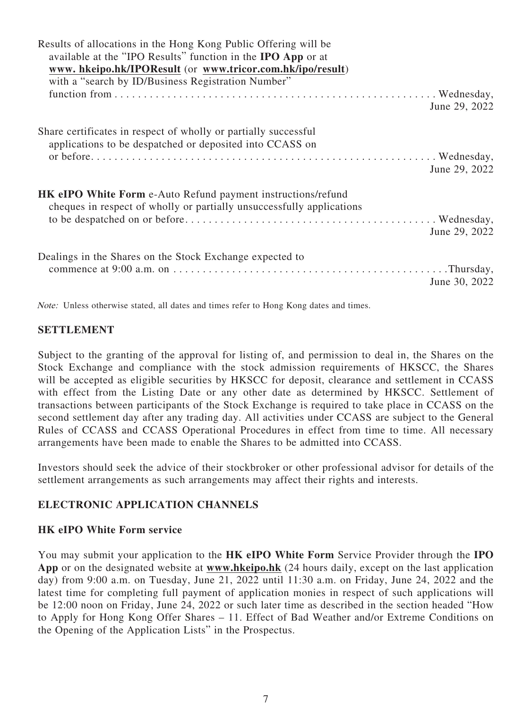| Results of allocations in the Hong Kong Public Offering will be<br>available at the "IPO Results" function in the <b>IPO App</b> or at<br>www.hkeipo.hk/IPOResult (or www.tricor.com.hk/ipo/result)<br>with a "search by ID/Business Registration Number" |               |
|-----------------------------------------------------------------------------------------------------------------------------------------------------------------------------------------------------------------------------------------------------------|---------------|
|                                                                                                                                                                                                                                                           | June 29, 2022 |
| Share certificates in respect of wholly or partially successful<br>applications to be despatched or deposited into CCASS on                                                                                                                               | June 29, 2022 |
| <b>HK eIPO White Form e-Auto Refund payment instructions/refund</b><br>cheques in respect of wholly or partially unsuccessfully applications                                                                                                              | June 29, 2022 |
| Dealings in the Shares on the Stock Exchange expected to                                                                                                                                                                                                  | June 30, 2022 |

Note: Unless otherwise stated, all dates and times refer to Hong Kong dates and times.

### **SETTLEMENT**

Subject to the granting of the approval for listing of, and permission to deal in, the Shares on the Stock Exchange and compliance with the stock admission requirements of HKSCC, the Shares will be accepted as eligible securities by HKSCC for deposit, clearance and settlement in CCASS with effect from the Listing Date or any other date as determined by HKSCC. Settlement of transactions between participants of the Stock Exchange is required to take place in CCASS on the second settlement day after any trading day. All activities under CCASS are subject to the General Rules of CCASS and CCASS Operational Procedures in effect from time to time. All necessary arrangements have been made to enable the Shares to be admitted into CCASS.

Investors should seek the advice of their stockbroker or other professional advisor for details of the settlement arrangements as such arrangements may affect their rights and interests.

### **ELECTRONIC APPLICATION CHANNELS**

### **HK eIPO White Form service**

You may submit your application to the **HK eIPO White Form** Service Provider through the **IPO App** or on the designated website at **www.hkeipo.hk** (24 hours daily, except on the last application day) from 9:00 a.m. on Tuesday, June 21, 2022 until 11:30 a.m. on Friday, June 24, 2022 and the latest time for completing full payment of application monies in respect of such applications will be 12:00 noon on Friday, June 24, 2022 or such later time as described in the section headed "How to Apply for Hong Kong Offer Shares – 11. Effect of Bad Weather and/or Extreme Conditions on the Opening of the Application Lists" in the Prospectus.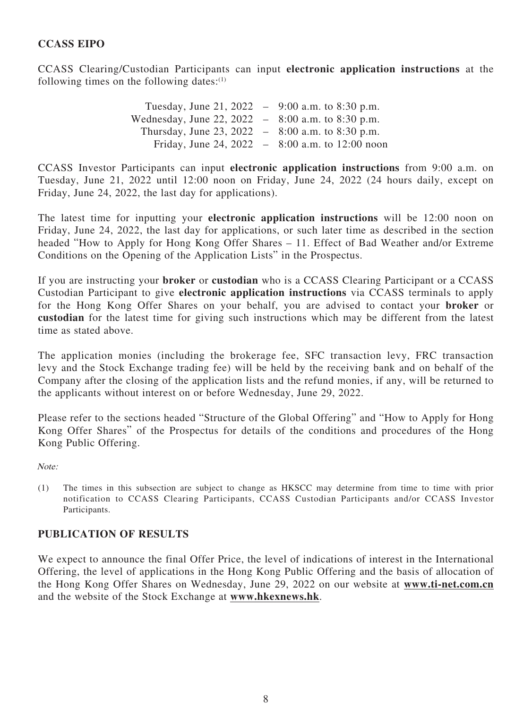## **CCASS EIPO**

CCASS Clearing/Custodian Participants can input **electronic application instructions** at the following times on the following dates: $(1)$ 

> Tuesday, June 21, 2022 – 9:00 a.m. to 8:30 p.m. Wednesday, June 22, 2022 – 8:00 a.m. to 8:30 p.m. Thursday, June 23, 2022 –  $8:00$  a.m. to  $8:30$  p.m. Friday, June 24, 2022 – 8:00 a.m. to 12:00 noon

CCASS Investor Participants can input **electronic application instructions** from 9:00 a.m. on Tuesday, June 21, 2022 until 12:00 noon on Friday, June 24, 2022 (24 hours daily, except on Friday, June 24, 2022, the last day for applications).

The latest time for inputting your **electronic application instructions** will be 12:00 noon on Friday, June 24, 2022, the last day for applications, or such later time as described in the section headed "How to Apply for Hong Kong Offer Shares – 11. Effect of Bad Weather and/or Extreme Conditions on the Opening of the Application Lists" in the Prospectus.

If you are instructing your **broker** or **custodian** who is a CCASS Clearing Participant or a CCASS Custodian Participant to give **electronic application instructions** via CCASS terminals to apply for the Hong Kong Offer Shares on your behalf, you are advised to contact your **broker** or **custodian** for the latest time for giving such instructions which may be different from the latest time as stated above.

The application monies (including the brokerage fee, SFC transaction levy, FRC transaction levy and the Stock Exchange trading fee) will be held by the receiving bank and on behalf of the Company after the closing of the application lists and the refund monies, if any, will be returned to the applicants without interest on or before Wednesday, June 29, 2022.

Please refer to the sections headed "Structure of the Global Offering" and "How to Apply for Hong Kong Offer Shares" of the Prospectus for details of the conditions and procedures of the Hong Kong Public Offering.

Note:

(1) The times in this subsection are subject to change as HKSCC may determine from time to time with prior notification to CCASS Clearing Participants, CCASS Custodian Participants and/or CCASS Investor Participants.

## **PUBLICATION OF RESULTS**

We expect to announce the final Offer Price, the level of indications of interest in the International Offering, the level of applications in the Hong Kong Public Offering and the basis of allocation of the Hong Kong Offer Shares on Wednesday, June 29, 2022 on our website at **www.ti-net.com.cn** and the website of the Stock Exchange at **www.hkexnews.hk**.